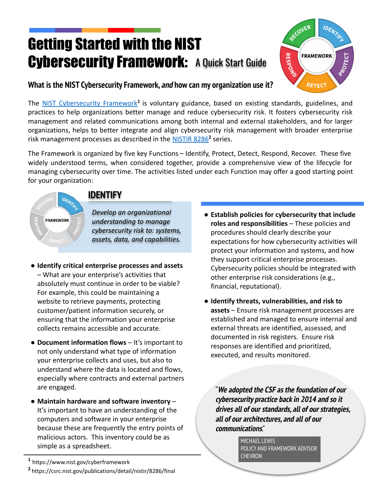# Getting Started with the NIST **Cybersecurity Framework: A Quick Start Guide**



#### **What is the NIST Cybersecurity Framework, and how can my organization use it?**

The **[NIST Cybersecurity Framework](https://nvlpubs.nist.gov/nistpubs/CSWP/NIST.CSWP.04162018.pdf)<sup>1</sup>** is voluntary guidance, based on existing standards, guidelines, and practices to help organizations better manage and reduce cybersecurity risk. It fosters cybersecurity risk management and related communications among both internal and external stakeholders, and for larger organizations, helps to better integrate and align cybersecurity risk management with broader enterprise risk management processes as described in the **[NISTIR 8286](https://csrc.nist.gov/publications/detail/nistir/8286/final)<sup>2</sup> series**.

The Framework is organized by five key Functions – Identify, Protect, Detect, Respond, Recover. These five widely understood terms, when considered together, provide a comprehensive view of the lifecycle for managing cybersecurity over time. The activities listed under each Function may offer a good starting point for your organization:

**IDEN FRAMEWORK** 

#### **IDENTIFY**

*Develop an organizational understanding to manage cybersecurity risk to: systems, assets, data, and capabilities.*

- **Identify critical enterprise processes and assets**  – What are your enterprise's activities that absolutely must continue in order to be viable? For example, this could be maintaining a website to retrieve payments, protecting customer/patient information securely, or ensuring that the information your enterprise collects remains accessible and accurate.
- **Document information flows**  It's important to not only understand what type of information your enterprise collects and uses, but also to understand where the data is located and flows, especially where contracts and external partners are engaged.
- **Maintain hardware and software inventory**  It's important to have an understanding of the computers and software in your enterprise because these are frequently the entry points of malicious actors. This inventory could be as simple as a spreadsheet.

**1** https://www.nist.gov/cyberframework **<sup>2</sup>**https://csrc.nist.gov/publications/detail/nistir/8286/final

- **Establish policies for cybersecurity that include roles and responsibilities** – These policies and procedures should clearly describe your expectations for how cybersecurity activities will protect your information and systems, and how they support critical enterprise processes. Cybersecurity policies should be integrated with other enterprise risk considerations (e.g., financial, reputational).
- **Identify threats, vulnerabilities, and risk to assets** – Ensure risk management processes are established and managed to ensure internal and external threats are identified, assessed, and documented in risk registers. Ensure risk responses are identified and prioritized, executed, and results monitored.

"**We adopted the CSF as the foundation of our cybersecurity practice back in 2014 and so it drives all of our standards, all of our strategies, all of our architectures, and all of our communications**."

> MICHAFI LEWIS POLICY AND FRAMEWORK ADVISOR CHEVRON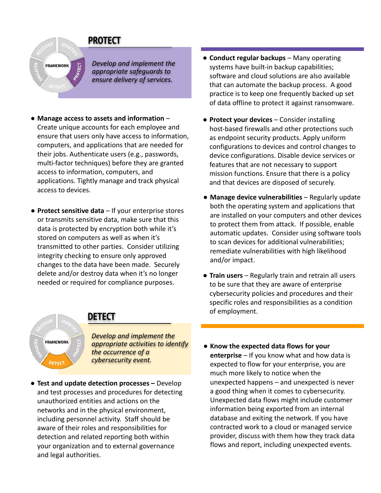### **PROTECT**

**FRAMEWORK** 

*Develop and implement the appropriate safeguards to ensure delivery of services.*

- **Manage access to assets and information**  Create unique accounts for each employee and ensure that users only have access to information, computers, and applications that are needed for their jobs. Authenticate users (e.g., passwords, multi-factor techniques) before they are granted access to information, computers, and applications. Tightly manage and track physical access to devices.
- **Protect sensitive data**  If your enterprise stores or transmits sensitive data, make sure that this data is protected by encryption both while it's stored on computers as well as when it's transmitted to other parties. Consider utilizing integrity checking to ensure only approved changes to the data have been made. Securely delete and/or destroy data when it's no longer needed or required for compliance purposes.
- **Conduct regular backups**  Many operating systems have built-in backup capabilities; software and cloud solutions are also available that can automate the backup process. A good practice is to keep one frequently backed up set of data offline to protect it against ransomware.
- **Protect your devices**  Consider installing host-based firewalls and other protections such as endpoint security products. Apply uniform configurations to devices and control changes to device configurations. Disable device services or features that are not necessary to support mission functions. Ensure that there is a policy and that devices are disposed of securely.
- **Manage device vulnerabilities**  Regularly update both the operating system and applications that are installed on your computers and other devices to protect them from attack. If possible, enable automatic updates. Consider using software tools to scan devices for additional vulnerabilities; remediate vulnerabilities with high likelihood and/or impact.
- **Train users**  Regularly train and retrain all users to be sure that they are aware of enterprise cybersecurity policies and procedures and their specific roles and responsibilities as a condition of employment.



### **DETECT**

*Develop and implement the appropriate activities to identify the occurrence of a cybersecurity event.*

- **● Test and update detection processes** Develop and test processes and procedures for detecting unauthorized entities and actions on the networks and in the physical environment, including personnel activity. Staff should be aware of their roles and responsibilities for detection and related reporting both within your organization and to external governance and legal authorities.
- **Know the expected data flows for your enterprise** – If you know what and how data is expected to flow for your enterprise, you are much more likely to notice when the unexpected happens – and unexpected is never a good thing when it comes to cybersecurity. Unexpected data flows might include customer information being exported from an internal database and exiting the network. If you have contracted work to a cloud or managed service provider, discuss with them how they track data flows and report, including unexpected events.